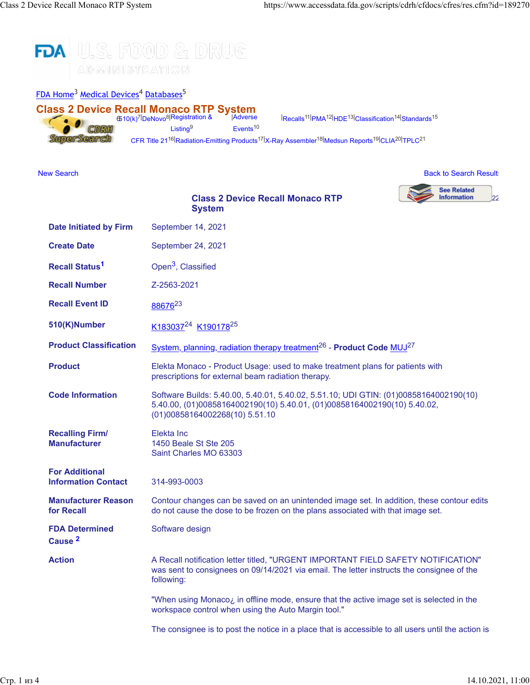



 $|{\rm Recalls}^{11}|{\rm PMA}^{12}|{\rm HDE}^{13}|{\rm Classification}^{14}|{\rm Standards}^{15}$  $|{\rm Recalls}^{11}|{\rm PMA}^{12}|{\rm HDE}^{13}|{\rm Classification}^{14}|{\rm Standards}^{15}$  $|{\rm Recalls}^{11}|{\rm PMA}^{12}|{\rm HDE}^{13}|{\rm Classification}^{14}|{\rm Standards}^{15}$  $|{\rm Recalls}^{11}|{\rm PMA}^{12}|{\rm HDE}^{13}|{\rm Classification}^{14}|{\rm Standards}^{15}$  $|{\rm Recalls}^{11}|{\rm PMA}^{12}|{\rm HDE}^{13}|{\rm Classification}^{14}|{\rm Standards}^{15}$  $|{\rm Recalls}^{11}|{\rm PMA}^{12}|{\rm HDE}^{13}|{\rm Classification}^{14}|{\rm Standards}^{15}$  $|{\rm Recalls}^{11}|{\rm PMA}^{12}|{\rm HDE}^{13}|{\rm Classification}^{14}|{\rm Standards}^{15}$  $|{\rm Recalls}^{11}|{\rm PMA}^{12}|{\rm HDE}^{13}|{\rm Classification}^{14}|{\rm Standards}^{15}$  $|{\rm Recalls}^{11}|{\rm PMA}^{12}|{\rm HDE}^{13}|{\rm Classification}^{14}|{\rm Standards}^{15}$  $|{\rm Recalls}^{11}|{\rm PMA}^{12}|{\rm HDE}^{13}|{\rm Classification}^{14}|{\rm Standards}^{15}$  $|{\rm Recalls}^{11}|{\rm PMA}^{12}|{\rm HDE}^{13}|{\rm Classification}^{14}|{\rm Standards}^{15}$ 

[CFR Title 21](https://www.accessdata.fda.gov/scripts/cdrh/cfdocs/cfCFR/CFRSearch.cfm)<sup>16|</sup>[Radiation-Emitting Products](https://www.accessdata.fda.gov/scripts/cdrh/cfdocs/cfPCD_RH/classification.cfm)<sup>17|</sup>[X-Ray Assembler](https://www.accessdata.fda.gov/scripts/cdrh/cfdocs/cfAssem/assembler.cfm)<sup>18|</sup>[Medsun Reports](https://www.accessdata.fda.gov/scripts/cdrh/cfdocs/Medsun/searchReportText.cfm)<sup>19|</sup>[CLIA](https://www.accessdata.fda.gov/scripts/cdrh/cfdocs/cfClia/Search.cfm)<sup>20|</sup>[TPLC](https://www.accessdata.fda.gov/scripts/cdrh/cfdocs/cfTPLC/tplc.cfm)<sup>21</sup>

# [New Search](https://www.accessdata.fda.gov/scripts/cdrh/cfdocs/cfres/res.cfm) [Back to Search Results](javascript: history.go(-1)) and the United States of the United States of the United States of the United States of the United States of the United States of the United States of the United States of the United State **See Related**

Information

[2](http://www.fda.gov/safety/recalls/enforcementreports/default.htm)2

### **Class 2 Device Recall Monaco RTP System**

| <b>Date Initiated by Firm</b>                       | September 14, 2021                                                                                                                                                                                  |
|-----------------------------------------------------|-----------------------------------------------------------------------------------------------------------------------------------------------------------------------------------------------------|
| <b>Create Date</b>                                  | September 24, 2021                                                                                                                                                                                  |
| <b>Recall Status<sup>1</sup></b>                    | Open <sup>3</sup> , Classified                                                                                                                                                                      |
| <b>Recall Number</b>                                | Z-2563-2021                                                                                                                                                                                         |
| <b>Recall Event ID</b>                              | 88676 <sup>23</sup>                                                                                                                                                                                 |
| 510(K)Number                                        | K183037 <sup>24</sup> K190178 <sup>25</sup>                                                                                                                                                         |
| <b>Product Classification</b>                       | System, planning, radiation therapy treatment <sup>26</sup> - Product Code MUJ <sup>27</sup>                                                                                                        |
| <b>Product</b>                                      | Elekta Monaco - Product Usage: used to make treatment plans for patients with<br>prescriptions for external beam radiation therapy.                                                                 |
| <b>Code Information</b>                             | Software Builds: 5.40.00, 5.40.01, 5.40.02, 5.51.10; UDI GTIN: (01)00858164002190(10)<br>5.40.00, (01)00858164002190(10) 5.40.01, (01)00858164002190(10) 5.40.02,<br>(01)00858164002268(10) 5.51.10 |
| <b>Recalling Firm/</b><br><b>Manufacturer</b>       | Elekta Inc<br>1450 Beale St Ste 205<br>Saint Charles MO 63303                                                                                                                                       |
| <b>For Additional</b><br><b>Information Contact</b> | 314-993-0003                                                                                                                                                                                        |
| <b>Manufacturer Reason</b><br>for Recall            | Contour changes can be saved on an unintended image set. In addition, these contour edits<br>do not cause the dose to be frozen on the plans associated with that image set.                        |
| <b>FDA Determined</b><br>Cause <sup>2</sup>         | Software design                                                                                                                                                                                     |
| <b>Action</b>                                       | A Recall notification letter titled, "URGENT IMPORTANT FIELD SAFETY NOTIFICATION"<br>was sent to consignees on 09/14/2021 via email. The letter instructs the consignee of the<br>following:        |
|                                                     | "When using Monaco; in offline mode, ensure that the active image set is selected in the<br>workspace control when using the Auto Margin tool."                                                     |

The consignee is to post the notice in a place that is accessible to all users until the action is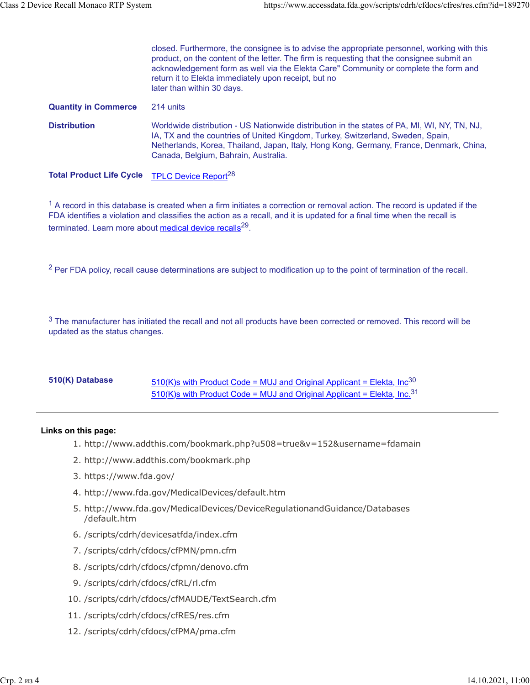|                                 | closed. Furthermore, the consignee is to advise the appropriate personnel, working with this<br>product, on the content of the letter. The firm is requesting that the consignee submit an<br>acknowledgement form as well via the Elekta Care" Community or complete the form and<br>return it to Elekta immediately upon receipt, but no<br>later than within 30 days. |
|---------------------------------|--------------------------------------------------------------------------------------------------------------------------------------------------------------------------------------------------------------------------------------------------------------------------------------------------------------------------------------------------------------------------|
| <b>Quantity in Commerce</b>     | 214 units                                                                                                                                                                                                                                                                                                                                                                |
| <b>Distribution</b>             | Worldwide distribution - US Nationwide distribution in the states of PA, MI, WI, NY, TN, NJ,<br>IA, TX and the countries of United Kingdom, Turkey, Switzerland, Sweden, Spain,<br>Netherlands, Korea, Thailand, Japan, Italy, Hong Kong, Germany, France, Denmark, China,<br>Canada, Belgium, Bahrain, Australia.                                                       |
| <b>Total Product Life Cycle</b> | TPLC Device Report <sup>28</sup>                                                                                                                                                                                                                                                                                                                                         |

 $1$  A record in this database is created when a firm initiates a correction or removal action. The record is updated if the FDA identifies a violation and classifies the action as a recall, and it is updated for a final time when the recall is terminated. Learn more about [medical device recalls](http://www.fda.gov/MedicalDevices/Safety/ListofRecalls/ucm329946.htm)<sup>29</sup>.

 $<sup>2</sup>$  Per FDA policy, recall cause determinations are subject to modification up to the point of termination of the recall.</sup>

 $3$  The manufacturer has initiated the recall and not all products have been corrected or removed. This record will be updated as the status changes.

## 510(K) Database [510\(K\)s with Product Code = MUJ and Original Applicant = Elekta, Inc](https://www.accessdata.fda.gov/scripts/cdrh/cfdocs/cfPMN/pmn.cfm?start_search=1&productcode=MUJ&knumber=&applicant=Elekta%2C%20Inc)<sup>30</sup> [510\(K\)s with Product Code = MUJ and Original Applicant = Elekta, Inc.](https://www.accessdata.fda.gov/scripts/cdrh/cfdocs/cfPMN/pmn.cfm?start_search=1&productcode=MUJ&knumber=&applicant=Elekta%2C%20Inc%2E)  $31$

#### **Links on this page:**

- 1. http://www.addthis.com/bookmark.php?u508=true&v=152&username=fdamain
- 2. http://www.addthis.com/bookmark.php
- 3. https://www.fda.gov/
- 4. http://www.fda.gov/MedicalDevices/default.htm
- 5. http://www.fda.gov/MedicalDevices/DeviceRegulationandGuidance/Databases /default.htm
- 6. /scripts/cdrh/devicesatfda/index.cfm
- 7. /scripts/cdrh/cfdocs/cfPMN/pmn.cfm
- 8. /scripts/cdrh/cfdocs/cfpmn/denovo.cfm
- 9. /scripts/cdrh/cfdocs/cfRL/rl.cfm
- 10. /scripts/cdrh/cfdocs/cfMAUDE/TextSearch.cfm
- 11. /scripts/cdrh/cfdocs/cfRES/res.cfm
- 12. /scripts/cdrh/cfdocs/cfPMA/pma.cfm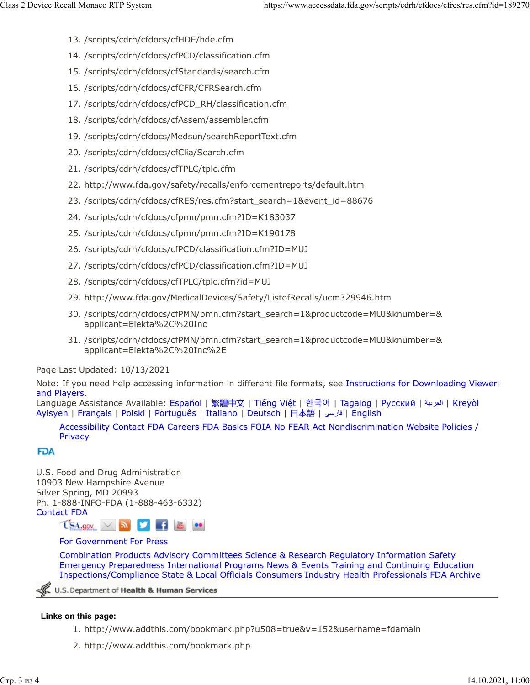- 13. /scripts/cdrh/cfdocs/cfHDE/hde.cfm
- 14. /scripts/cdrh/cfdocs/cfPCD/classification.cfm
- 15. /scripts/cdrh/cfdocs/cfStandards/search.cfm
- 16. /scripts/cdrh/cfdocs/cfCFR/CFRSearch.cfm
- 17. /scripts/cdrh/cfdocs/cfPCD\_RH/classification.cfm
- 18. /scripts/cdrh/cfdocs/cfAssem/assembler.cfm
- 19. /scripts/cdrh/cfdocs/Medsun/searchReportText.cfm
- 20. /scripts/cdrh/cfdocs/cfClia/Search.cfm
- 21. /scripts/cdrh/cfdocs/cfTPLC/tplc.cfm
- 22. http://www.fda.gov/safety/recalls/enforcementreports/default.htm
- 23. /scripts/cdrh/cfdocs/cfRES/res.cfm?start\_search=1&event\_id=88676
- 24. /scripts/cdrh/cfdocs/cfpmn/pmn.cfm?ID=K183037
- 25. /scripts/cdrh/cfdocs/cfpmn/pmn.cfm?ID=K190178
- 26. /scripts/cdrh/cfdocs/cfPCD/classification.cfm?ID=MUJ
- 27. /scripts/cdrh/cfdocs/cfPCD/classification.cfm?ID=MUJ
- 28. /scripts/cdrh/cfdocs/cfTPLC/tplc.cfm?id=MUJ
- 29. http://www.fda.gov/MedicalDevices/Safety/ListofRecalls/ucm329946.htm
- 30. /scripts/cdrh/cfdocs/cfPMN/pmn.cfm?start\_search=1&productcode=MUJ&knumber=& applicant=Elekta%2C%20Inc
- 31. /scripts/cdrh/cfdocs/cfPMN/pmn.cfm?start\_search=1&productcode=MUJ&knumber=& applicant=Elekta%2C%20Inc%2E

### Page Last Updated: 10/13/2021

Note: If you need help accessing information in different file formats, see [Instructions for Downloading Viewers](https://www.fda.gov/about-fda/website-policies/viewing-files) [and Players.](https://www.fda.gov/about-fda/website-policies/viewing-files)

Language Assistance Available: [Español](https://www.fda.gov/about-fda/about-website/language-assistance-services#spanish) | [繁體中文](https://www.fda.gov/about-fda/about-website/language-assistance-services#chinese) | Tiế[ng Vi](https://www.fda.gov/about-fda/about-website/language-assistance-services#vietnamese)ệt | [한국어](https://www.fda.gov/about-fda/about-website/language-assistance-services#korean) | [Tagalog](https://www.fda.gov/about-fda/about-website/language-assistance-services#tagalog) | [Русский](https://www.fda.gov/about-fda/about-website/language-assistance-services#russian) | [ةيبرعلا](hhttps://www.fda.gov/about-fda/about-website/language-assistance-services#arabic)| [Kreyòl](https://www.fda.gov/about-fda/about-website/language-assistance-services#creole) [Ayisyen](https://www.fda.gov/about-fda/about-website/language-assistance-services#creole) | [Français](https://www.fda.gov/about-fda/about-website/language-assistance-services#french) | [Polski](https://www.fda.gov/about-fda/about-website/language-assistance-services#polish) | [Português](https://www.fda.gov/about-fda/about-website/language-assistance-services#portuguese) | [Italiano](https://www.fda.gov/about-fda/about-website/language-assistance-services#italian) | [Deutsch](https://www.fda.gov/about-fda/about-website/language-assistance-services#german) | [日本語](https://www.fda.gov/about-fda/about-website/language-assistance-services#japanese) | [یسراف](https://www.fda.gov/about-fda/about-website/language-assistance-services#farsi)| [English](https://www.fda.gov/about-fda/about-website/language-assistance-services#english)

[Accessibility](https://www.fda.gov/about-fda/about-website/accessibility) [Contact FDA](https://www.fda.gov/about-fda/contact-fda) [Careers](https://www.fda.gov/about-fda/jobs-and-training-fda) [FDA Basics](https://www.fda.gov/about-fda/transparency/fda-basics) [FOIA](https://www.fda.gov/regulatory-information/freedom-information) [No FEAR Act](https://www.fda.gov/about-fda/jobs-and-training-fda/no-fear-act) [Nondiscrimination](https://www.fda.gov/about-fda/about-website/fda-nondiscrimination-notice) [Website Policies /](https://www.fda.gov/about-fda/about-website/website-policies) **[Privacy](https://www.fda.gov/about-fda/about-website/website-policies)** 

## **FDA**

U.S. Food and Drug Administration 10903 New Hampshire Avenue Silver Spring, MD 20993 Ph. 1-888-INFO-FDA (1-888-463-6332) [Contact FDA](https://www.fda.gov/about-fda/contact-fda)



### [For Government](https://www.fda.gov/federal-state-local-tribal-and-territorial-officials) [For Press](https://www.fda.gov/news-events)

[Combination Products](https://www.fda.gov/combination-products) [Advisory Committees](https://www.fda.gov/advisory-committees) [Science & Research](https://www.fda.gov/Science-Research) [Regulatory Information](https://www.fda.gov/Regulatory-Information) [Safety](https://www.fda.gov/Safety) [Emergency Preparedness](https://www.fda.gov/emergency-preparedness-and-response) [International Programs](https://www.fda.gov/international-programs) [News & Events](https://www.fda.gov/news-events) [Training and Continuing Education](https://www.fda.gov/training-and-continuing-education) [Inspections/Compliance](https://www.fda.gov/inspections-compliance-enforcement-and-criminal-investigations) [State & Local Officials](https://www.fda.gov/federal-state-local-tribal-and-territorial-officials) [Consumers](https://www.fda.gov/consumers) [Industry](https://www.fda.gov/industry) [Health Professionals](https://www.fda.gov/health-professionals) [FDA Archive](https://www.fda.gov/about-fda/about-website/fdagov-archive)

U.S. Department of Health & Human Services

## **Links on this page:**

- 1. http://www.addthis.com/bookmark.php?u508=true&v=152&username=fdamain
- 2. http://www.addthis.com/bookmark.php